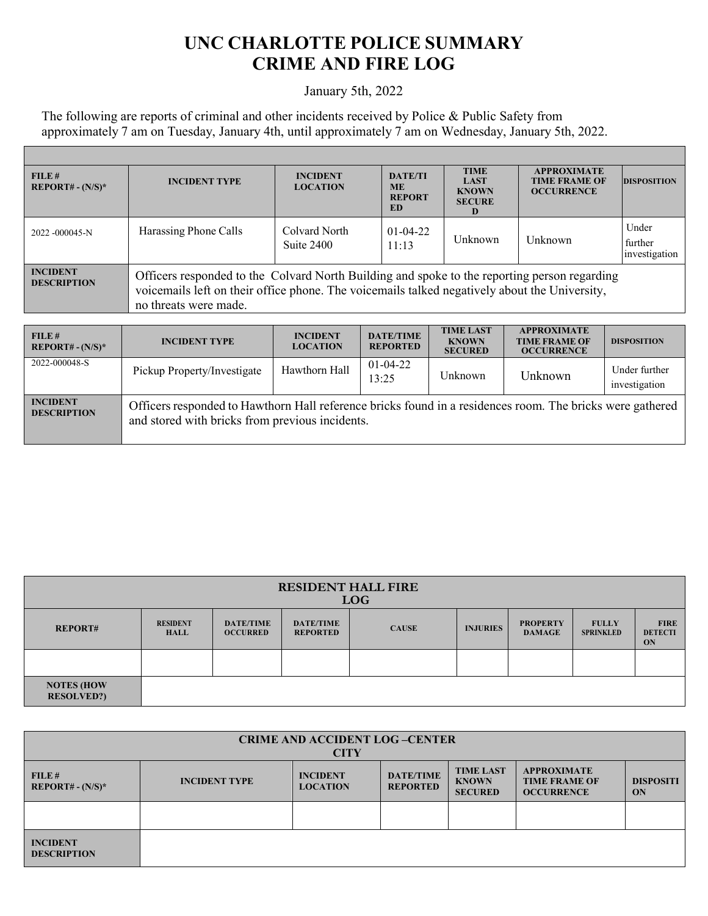## **UNC CHARLOTTE POLICE SUMMARY CRIME AND FIRE LOG**

## January 5th, 2022

The following are reports of criminal and other incidents received by Police & Public Safety from approximately 7 am on Tuesday, January 4th, until approximately 7 am on Wednesday, January 5th, 2022.

Г

| FILE#<br>$REPORT# - (N/S)*$           | <b>INCIDENT TYPE</b>                                                                                                                                                                                                   | <b>INCIDENT</b><br><b>LOCATION</b> | <b>DATE/TI</b><br><b>ME</b><br><b>REPORT</b><br>ED | <b>TIME</b><br><b>LAST</b><br><b>KNOWN</b><br><b>SECURE</b> | <b>APPROXIMATE</b><br><b>TIME FRAME OF</b><br><b>OCCURRENCE</b> | <b>DISPOSITION</b>                |  |
|---------------------------------------|------------------------------------------------------------------------------------------------------------------------------------------------------------------------------------------------------------------------|------------------------------------|----------------------------------------------------|-------------------------------------------------------------|-----------------------------------------------------------------|-----------------------------------|--|
| 2022 -000045-N                        | Harassing Phone Calls                                                                                                                                                                                                  | Colvard North<br>Suite 2400        | $01-04-22$<br>11:13                                | Unknown                                                     | Unknown                                                         | Under<br>further<br>investigation |  |
| <b>INCIDENT</b><br><b>DESCRIPTION</b> | Officers responded to the Colvard North Building and spoke to the reporting person regarding<br>voicemails left on their office phone. The voicemails talked negatively about the University,<br>no threats were made. |                                    |                                                    |                                                             |                                                                 |                                   |  |
|                                       |                                                                                                                                                                                                                        |                                    |                                                    |                                                             |                                                                 |                                   |  |
|                                       |                                                                                                                                                                                                                        |                                    |                                                    | <b>TIME LAST</b>                                            | <b>APPROXIMATE</b>                                              |                                   |  |

| FILE#<br>$REPORT# - (N/S)*$           | <b>INCIDENT TYPE</b>                                                                                                                                         | <b>INCIDENT</b><br><b>LOCATION</b> | <b>DATE/TIME</b><br><b>REPORTED</b> | <b>TIME LAST</b><br><b>KNOWN</b><br><b>SECURED</b> | <b>APPROXIMATE</b><br><b>TIME FRAME OF</b><br><b>OCCURRENCE</b> | <b>DISPOSITION</b>             |  |
|---------------------------------------|--------------------------------------------------------------------------------------------------------------------------------------------------------------|------------------------------------|-------------------------------------|----------------------------------------------------|-----------------------------------------------------------------|--------------------------------|--|
| 2022-000048-S                         | Pickup Property/Investigate                                                                                                                                  | Hawthorn Hall                      | $01-04-22$<br>13:25                 | Unknown                                            | <b>Unknown</b>                                                  | Under further<br>investigation |  |
| <b>INCIDENT</b><br><b>DESCRIPTION</b> | Officers responded to Hawthorn Hall reference bricks found in a residences room. The bricks were gathered<br>and stored with bricks from previous incidents. |                                    |                                     |                                                    |                                                                 |                                |  |

| <b>RESIDENT HALL FIRE</b><br><b>LOG</b> |                                |                                     |                                     |              |                 |                                  |                                  |                                     |
|-----------------------------------------|--------------------------------|-------------------------------------|-------------------------------------|--------------|-----------------|----------------------------------|----------------------------------|-------------------------------------|
| <b>REPORT#</b>                          | <b>RESIDENT</b><br><b>HALL</b> | <b>DATE/TIME</b><br><b>OCCURRED</b> | <b>DATE/TIME</b><br><b>REPORTED</b> | <b>CAUSE</b> | <b>INJURIES</b> | <b>PROPERTY</b><br><b>DAMAGE</b> | <b>FULLY</b><br><b>SPRINKLED</b> | <b>FIRE</b><br><b>DETECTI</b><br>ON |
|                                         |                                |                                     |                                     |              |                 |                                  |                                  |                                     |
| <b>NOTES (HOW)</b><br><b>RESOLVED?)</b> |                                |                                     |                                     |              |                 |                                  |                                  |                                     |

| <b>CRIME AND ACCIDENT LOG-CENTER</b><br><b>CITY</b> |                      |                                                                 |                        |  |  |  |
|-----------------------------------------------------|----------------------|-----------------------------------------------------------------|------------------------|--|--|--|
| FILE#<br>$REPORT# - (N/S)*$                         | <b>INCIDENT TYPE</b> | <b>APPROXIMATE</b><br><b>TIME FRAME OF</b><br><b>OCCURRENCE</b> | <b>DISPOSITI</b><br>ON |  |  |  |
|                                                     |                      |                                                                 |                        |  |  |  |
| <b>INCIDENT</b><br><b>DESCRIPTION</b>               |                      |                                                                 |                        |  |  |  |